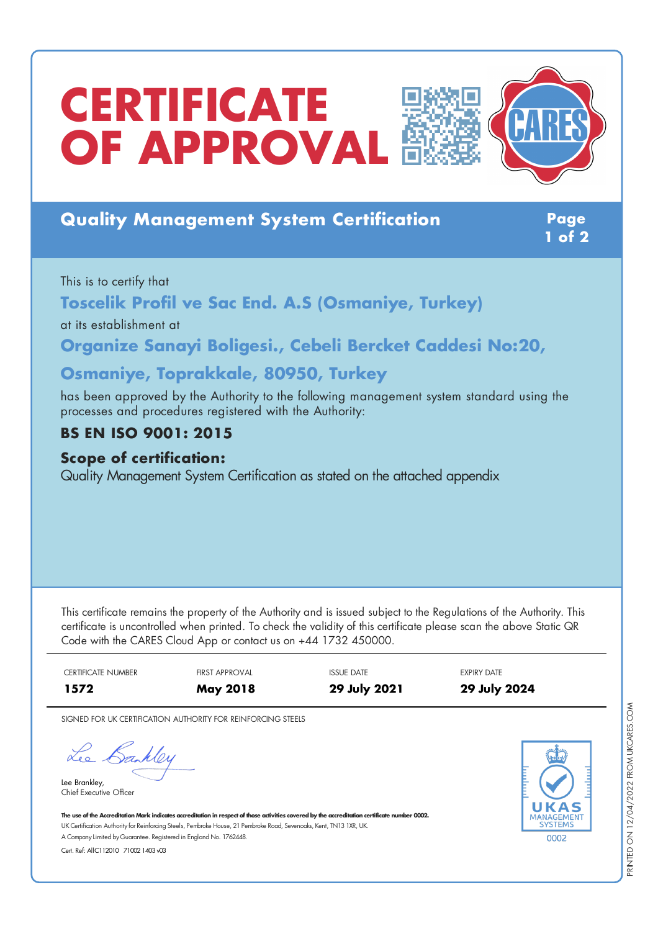# **CERTIFICATE** *OF* **APPROVAL**

## **Quality Management System Certification Page**

**1 of 2**

#### This is to certify that

**Toscelik Profil ve Sac End. A.S (Osmaniye, Turkey)**

at its establishment at

**Organize Sanayi Boligesi., Cebeli Bercket Caddesi No:20,**

## **Osmaniye, Toprakkale, 80950, Turkey**

has been approved by the Authority to the following management system standard using the processes and procedures registered with the Authority:

## **BS EN ISO 9001: 2015**

#### **Scope of certification:**

Quality Management System Certification as stated on the attached appendix

This certificate remains the property of the Authority and is issued subject to the Regulations of the Authority. This certificate is uncontrolled when printed. To check the validity of this certificate please scan the above Static QR Code with the CARES Cloud App or contact us on +44 1732 450000.

CERTIFICATE NUMBER FIRST APPROVAL ISSUE DATE THE EXPIRY DATE **1572 May 2018 29 July 2021 29 July 2024**

SIGNED FOR UK CERTIFICATION AUTHORITY FOR REINFORCING STEELS

Lee Bankley

Lee Brankley, Chief Executive Officer 0002

The use of the Accreditation Mark indicates accreditation in respect of those activities covered by the accreditation certificate number 0002. UK Certification Authority for Reinforcing Steels, Pembroke House, 21 Pembroke Road, Sevenoaks, Kent, TN13 1XR, UK. A CompanyLimited byGuarantee. Registered in England No. 1762448.

Cert. Ref: AllC112010 71002 1403 v03